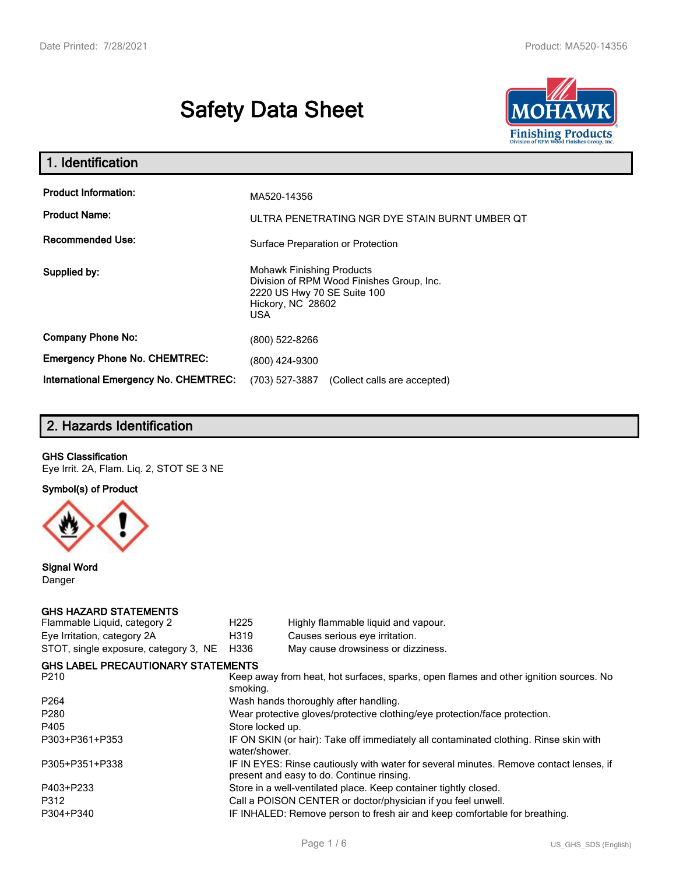# **Safety Data Sheet**



| 1. Identification                                   |                                                                                                                                                 |
|-----------------------------------------------------|-------------------------------------------------------------------------------------------------------------------------------------------------|
| <b>Product Information:</b><br><b>Product Name:</b> | MA520-14356<br>ULTRA PENETRATING NGR DYE STAIN BURNT UMBER OT                                                                                   |
| <b>Recommended Use:</b>                             | Surface Preparation or Protection                                                                                                               |
| Supplied by:                                        | <b>Mohawk Finishing Products</b><br>Division of RPM Wood Finishes Group, Inc.<br>2220 US Hwy 70 SE Suite 100<br>Hickory, NC 28602<br><b>USA</b> |
| <b>Company Phone No:</b>                            | (800) 522-8266                                                                                                                                  |
| <b>Emergency Phone No. CHEMTREC:</b>                | (800) 424-9300                                                                                                                                  |
| <b>International Emergency No. CHEMTREC:</b>        | (703) 527-3887<br>(Collect calls are accepted)                                                                                                  |

# **2. Hazards Identification**

#### **GHS Classification**

Eye Irrit. 2A, Flam. Liq. 2, STOT SE 3 NE

**Symbol(s) of Product**



**Signal Word** Danger

#### **GHS HAZARD STATEMENTS**

| H <sub>225</sub>                                                                                                                    | Highly flammable liquid and vapour.       |  |  |
|-------------------------------------------------------------------------------------------------------------------------------------|-------------------------------------------|--|--|
| H319                                                                                                                                | Causes serious eye irritation.            |  |  |
| H336                                                                                                                                | May cause drowsiness or dizziness.        |  |  |
|                                                                                                                                     |                                           |  |  |
| Keep away from heat, hot surfaces, sparks, open flames and other ignition sources. No<br>smoking.                                   |                                           |  |  |
| Wash hands thoroughly after handling.                                                                                               |                                           |  |  |
| Wear protective gloves/protective clothing/eye protection/face protection.                                                          |                                           |  |  |
| Store locked up.                                                                                                                    |                                           |  |  |
| IF ON SKIN (or hair): Take off immediately all contaminated clothing. Rinse skin with<br>water/shower.                              |                                           |  |  |
| IF IN EYES: Rinse cautiously with water for several minutes. Remove contact lenses, if<br>present and easy to do. Continue rinsing. |                                           |  |  |
| Store in a well-ventilated place. Keep container tightly closed.                                                                    |                                           |  |  |
| Call a POISON CENTER or doctor/physician if you feel unwell.                                                                        |                                           |  |  |
| IF INHALED: Remove person to fresh air and keep comfortable for breathing.                                                          |                                           |  |  |
|                                                                                                                                     | <b>GHS LABEL PRECAUTIONARY STATEMENTS</b> |  |  |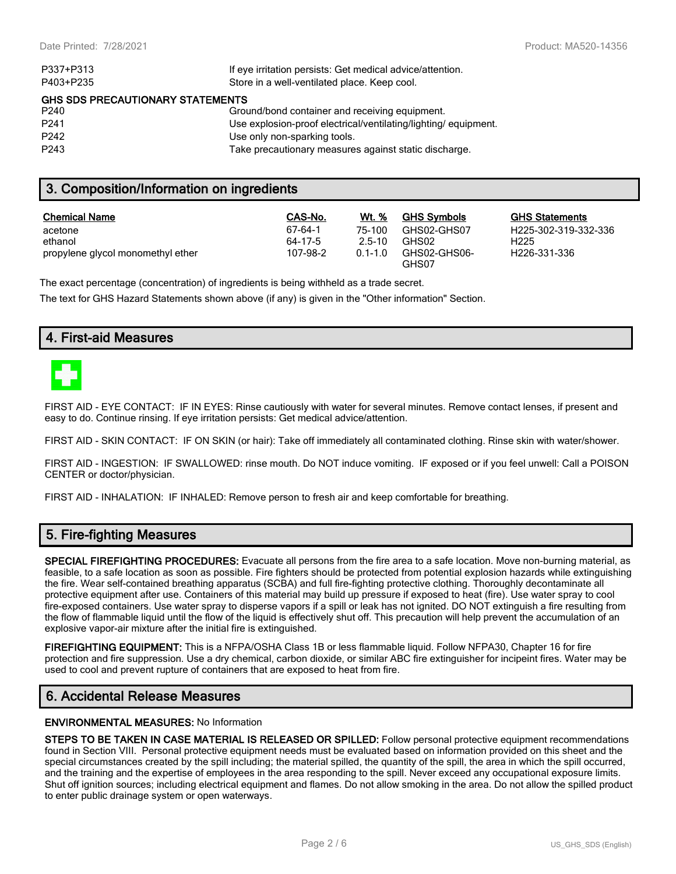| P337+P313                               | If eye irritation persists: Get medical advice/attention.      |  |  |  |
|-----------------------------------------|----------------------------------------------------------------|--|--|--|
| P403+P235                               | Store in a well-ventilated place. Keep cool.                   |  |  |  |
| <b>GHS SDS PRECAUTIONARY STATEMENTS</b> |                                                                |  |  |  |
| P240                                    | Ground/bond container and receiving equipment.                 |  |  |  |
| P <sub>241</sub>                        | Use explosion-proof electrical/ventilating/lighting/equipment. |  |  |  |
| P <sub>242</sub>                        | Use only non-sparking tools.                                   |  |  |  |
| P <sub>243</sub>                        | Take precautionary measures against static discharge.          |  |  |  |
|                                         |                                                                |  |  |  |

## **3. Composition/Information on ingredients**

| <b>Chemical Name</b>              | CAS-No.  | Wt. %       | <b>GHS Symbols</b>    | GHS  |
|-----------------------------------|----------|-------------|-----------------------|------|
| acetone                           | 67-64-1  | 75-100      | GHS02-GHS07           | H225 |
| ethanol                           | 64-17-5  | $2.5 - 10$  | GHS02                 | H225 |
| propylene glycol monomethyl ether | 107-98-2 | $0.1 - 1.0$ | GHS02-GHS06-<br>GHS07 | H226 |

**GHS Statements** H225-302-319-332-336 H226-331-336

The exact percentage (concentration) of ingredients is being withheld as a trade secret.

The text for GHS Hazard Statements shown above (if any) is given in the "Other information" Section.

## **4. First-aid Measures**



FIRST AID - EYE CONTACT: IF IN EYES: Rinse cautiously with water for several minutes. Remove contact lenses, if present and easy to do. Continue rinsing. If eye irritation persists: Get medical advice/attention.

FIRST AID - SKIN CONTACT: IF ON SKIN (or hair): Take off immediately all contaminated clothing. Rinse skin with water/shower.

FIRST AID - INGESTION: IF SWALLOWED: rinse mouth. Do NOT induce vomiting. IF exposed or if you feel unwell: Call a POISON CENTER or doctor/physician.

FIRST AID - INHALATION: IF INHALED: Remove person to fresh air and keep comfortable for breathing.

# **5. Fire-fighting Measures**

**SPECIAL FIREFIGHTING PROCEDURES:** Evacuate all persons from the fire area to a safe location. Move non-burning material, as feasible, to a safe location as soon as possible. Fire fighters should be protected from potential explosion hazards while extinguishing the fire. Wear self-contained breathing apparatus (SCBA) and full fire-fighting protective clothing. Thoroughly decontaminate all protective equipment after use. Containers of this material may build up pressure if exposed to heat (fire). Use water spray to cool fire-exposed containers. Use water spray to disperse vapors if a spill or leak has not ignited. DO NOT extinguish a fire resulting from the flow of flammable liquid until the flow of the liquid is effectively shut off. This precaution will help prevent the accumulation of an explosive vapor-air mixture after the initial fire is extinguished.

**FIREFIGHTING EQUIPMENT:** This is a NFPA/OSHA Class 1B or less flammable liquid. Follow NFPA30, Chapter 16 for fire protection and fire suppression. Use a dry chemical, carbon dioxide, or similar ABC fire extinguisher for incipeint fires. Water may be used to cool and prevent rupture of containers that are exposed to heat from fire.

# **6. Accidental Release Measures**

#### **ENVIRONMENTAL MEASURES:** No Information

**STEPS TO BE TAKEN IN CASE MATERIAL IS RELEASED OR SPILLED:** Follow personal protective equipment recommendations found in Section VIII. Personal protective equipment needs must be evaluated based on information provided on this sheet and the special circumstances created by the spill including; the material spilled, the quantity of the spill, the area in which the spill occurred, and the training and the expertise of employees in the area responding to the spill. Never exceed any occupational exposure limits. Shut off ignition sources; including electrical equipment and flames. Do not allow smoking in the area. Do not allow the spilled product to enter public drainage system or open waterways.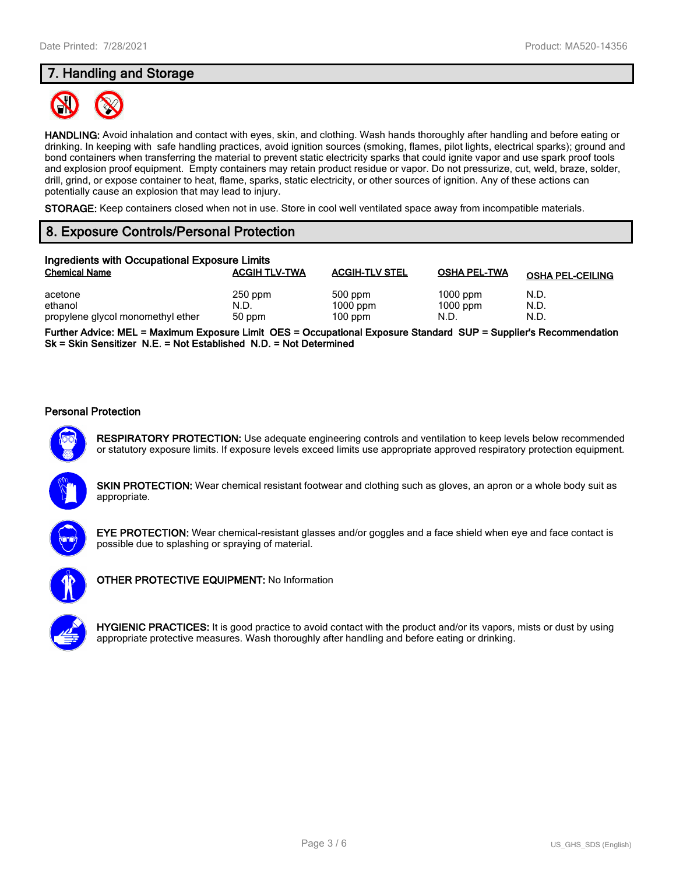# **7. Handling and Storage**



**HANDLING:** Avoid inhalation and contact with eyes, skin, and clothing. Wash hands thoroughly after handling and before eating or drinking. In keeping with safe handling practices, avoid ignition sources (smoking, flames, pilot lights, electrical sparks); ground and bond containers when transferring the material to prevent static electricity sparks that could ignite vapor and use spark proof tools and explosion proof equipment. Empty containers may retain product residue or vapor. Do not pressurize, cut, weld, braze, solder, drill, grind, or expose container to heat, flame, sparks, static electricity, or other sources of ignition. Any of these actions can potentially cause an explosion that may lead to injury.

**STORAGE:** Keep containers closed when not in use. Store in cool well ventilated space away from incompatible materials.

# **8. Exposure Controls/Personal Protection**

| Ingredients with Occupational Exposure Limits |                      |                         |                     |                         |  |
|-----------------------------------------------|----------------------|-------------------------|---------------------|-------------------------|--|
| <b>Chemical Name</b>                          | <b>ACGIH TLV-TWA</b> | <b>ACGIH-TLV STEL</b>   | <b>OSHA PEL-TWA</b> | <b>OSHA PEL-CEILING</b> |  |
| acetone                                       | $250$ ppm            | 500 ppm                 | $1000$ ppm          | N.D.                    |  |
| ethanol<br>propylene glycol monomethyl ether  | N.D.<br>50 ppm       | $1000$ ppm<br>$100$ ppm | $1000$ ppm<br>N.D.  | N.D.<br>N.D.            |  |

**Further Advice: MEL = Maximum Exposure Limit OES = Occupational Exposure Standard SUP = Supplier's Recommendation Sk = Skin Sensitizer N.E. = Not Established N.D. = Not Determined**

#### **Personal Protection**



**RESPIRATORY PROTECTION:** Use adequate engineering controls and ventilation to keep levels below recommended or statutory exposure limits. If exposure levels exceed limits use appropriate approved respiratory protection equipment.





**EYE PROTECTION:** Wear chemical-resistant glasses and/or goggles and a face shield when eye and face contact is possible due to splashing or spraying of material.



**OTHER PROTECTIVE EQUIPMENT:** No Information

**HYGIENIC PRACTICES:** It is good practice to avoid contact with the product and/or its vapors, mists or dust by using appropriate protective measures. Wash thoroughly after handling and before eating or drinking.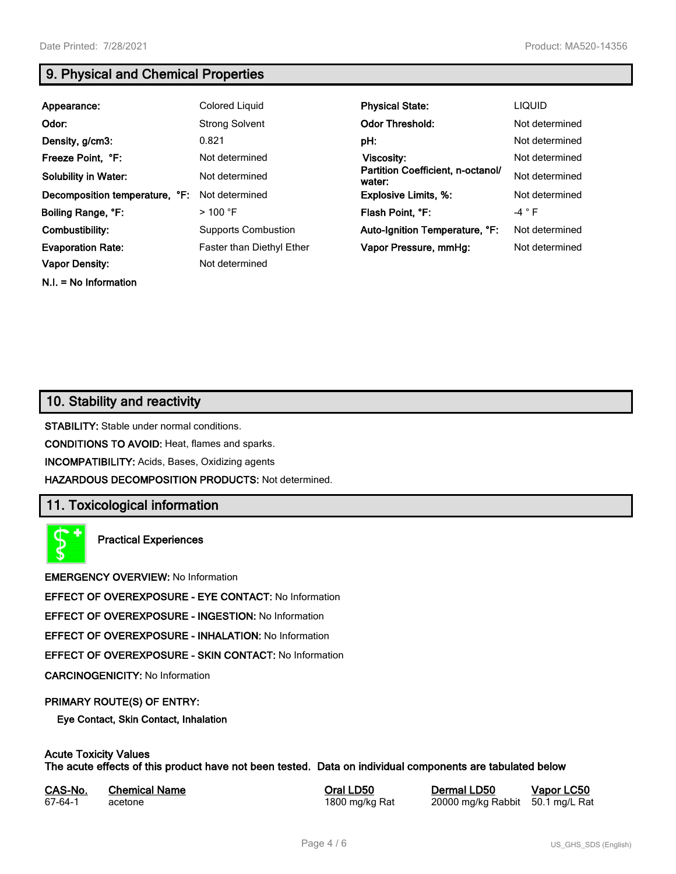**N.I. = No Information**

# **9. Physical and Chemical Properties**

| Appearance:                    | Colored Liquid             | <b>Physical State:</b>                      | <b>LIQUID</b>  |
|--------------------------------|----------------------------|---------------------------------------------|----------------|
| Odor:                          | <b>Strong Solvent</b>      | <b>Odor Threshold:</b>                      | Not determined |
| Density, g/cm3:                | 0.821                      | pH:                                         | Not determined |
| Freeze Point, °F:              | Not determined             | Viscosity:                                  | Not determined |
| <b>Solubility in Water:</b>    | Not determined             | Partition Coefficient, n-octanol/<br>water: | Not determined |
| Decomposition temperature, °F: | Not determined             | <b>Explosive Limits, %:</b>                 | Not determined |
| Boiling Range, °F:             | $>100$ °F                  | Flash Point, °F:                            | $-4$ $\circ$ F |
| Combustibility:                | <b>Supports Combustion</b> | Auto-Ignition Temperature, °F:              | Not determined |
| <b>Evaporation Rate:</b>       | Faster than Diethyl Ether  | Vapor Pressure, mmHq:                       | Not determined |
| <b>Vapor Density:</b>          | Not determined             |                                             |                |

# **10. Stability and reactivity**

**STABILITY:** Stable under normal conditions.

**CONDITIONS TO AVOID:** Heat, flames and sparks.

**INCOMPATIBILITY:** Acids, Bases, Oxidizing agents

**HAZARDOUS DECOMPOSITION PRODUCTS:** Not determined.

# **11. Toxicological information**

**Practical Experiences**

**EMERGENCY OVERVIEW:** No Information

**EFFECT OF OVEREXPOSURE - EYE CONTACT:** No Information

**EFFECT OF OVEREXPOSURE - INGESTION:** No Information

**EFFECT OF OVEREXPOSURE - INHALATION:** No Information

**EFFECT OF OVEREXPOSURE - SKIN CONTACT:** No Information

**CARCINOGENICITY:** No Information

#### **PRIMARY ROUTE(S) OF ENTRY:**

**Eye Contact, Skin Contact, Inhalation**

# **Acute Toxicity Values**

**The acute effects of this product have not been tested. Data on individual components are tabulated below**

| CAS-No. | <b>Chemical Name</b> |
|---------|----------------------|
| 67-64-1 | acetone              |

**Casary Chemical Chemical LD50 Chemical LD50 Vapor LC50** 1800 mg/kg Rat 20000 mg/kg Rabbit 50.1 mg/L Rat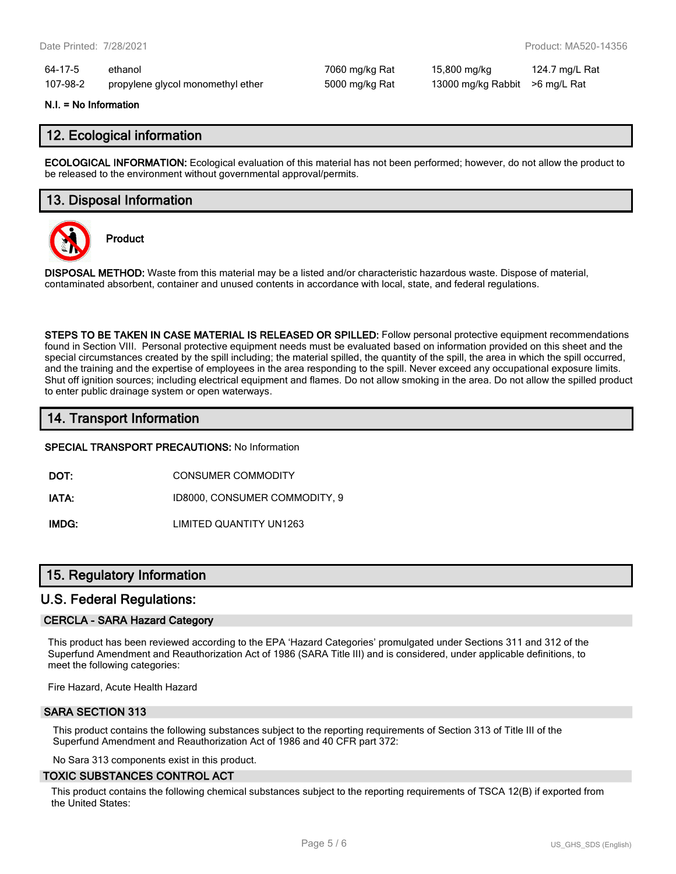64-17-5 ethanol 7060 mg/kg Rat 15,800 mg/kg 124.7 mg/L Rat 107-98-2 propylene glycol monomethyl ether 5000 mg/kg Rat 13000 mg/kg Rabbit >6 mg/L Rat

#### **N.I. = No Information**

## **12. Ecological information**

**ECOLOGICAL INFORMATION:** Ecological evaluation of this material has not been performed; however, do not allow the product to be released to the environment without governmental approval/permits.

## **13. Disposal Information**



**Product**

**DISPOSAL METHOD:** Waste from this material may be a listed and/or characteristic hazardous waste. Dispose of material, contaminated absorbent, container and unused contents in accordance with local, state, and federal regulations.

**STEPS TO BE TAKEN IN CASE MATERIAL IS RELEASED OR SPILLED:** Follow personal protective equipment recommendations found in Section VIII. Personal protective equipment needs must be evaluated based on information provided on this sheet and the special circumstances created by the spill including; the material spilled, the quantity of the spill, the area in which the spill occurred, and the training and the expertise of employees in the area responding to the spill. Never exceed any occupational exposure limits. Shut off ignition sources; including electrical equipment and flames. Do not allow smoking in the area. Do not allow the spilled product to enter public drainage system or open waterways.

# **14. Transport Information**

**SPECIAL TRANSPORT PRECAUTIONS:** No Information

**DOT:** CONSUMER COMMODITY

**IATA:** ID8000, CONSUMER COMMODITY, 9

**IMDG:** LIMITED QUANTITY UN1263

# **15. Regulatory Information**

## **U.S. Federal Regulations:**

#### **CERCLA - SARA Hazard Category**

This product has been reviewed according to the EPA 'Hazard Categories' promulgated under Sections 311 and 312 of the Superfund Amendment and Reauthorization Act of 1986 (SARA Title III) and is considered, under applicable definitions, to meet the following categories:

Fire Hazard, Acute Health Hazard

#### **SARA SECTION 313**

This product contains the following substances subject to the reporting requirements of Section 313 of Title III of the Superfund Amendment and Reauthorization Act of 1986 and 40 CFR part 372:

No Sara 313 components exist in this product.

#### **TOXIC SUBSTANCES CONTROL ACT**

This product contains the following chemical substances subject to the reporting requirements of TSCA 12(B) if exported from the United States: